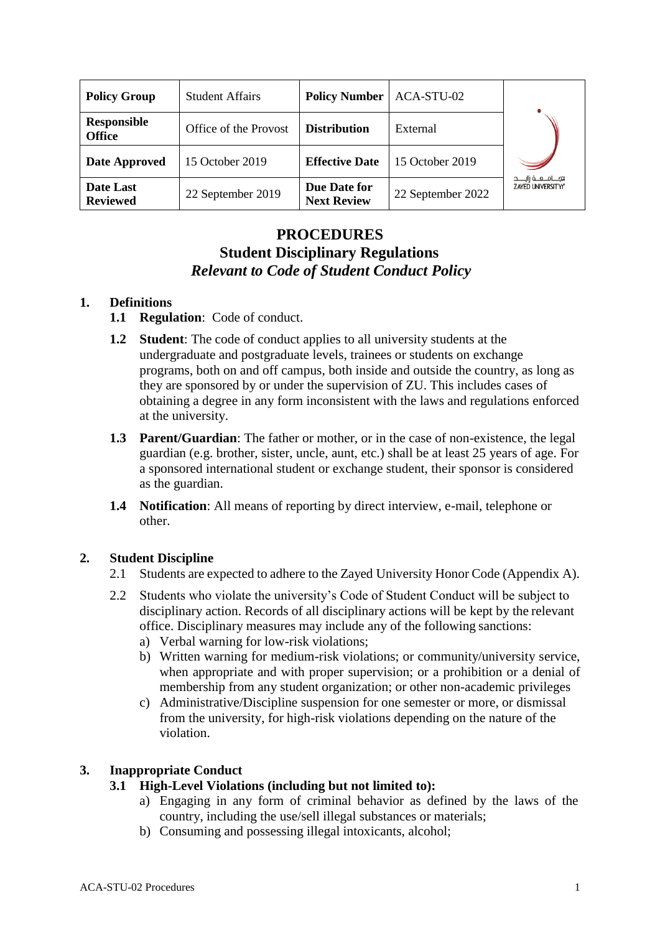| <b>Policy Group</b>                 | <b>Student Affairs</b> | <b>Policy Number</b>               | ACA-STU-02        |                                                        |
|-------------------------------------|------------------------|------------------------------------|-------------------|--------------------------------------------------------|
| <b>Responsible</b><br><b>Office</b> | Office of the Provost  | <b>Distribution</b>                | External          |                                                        |
| Date Approved                       | 15 October 2019        | <b>Effective Date</b>              | 15 October 2019   |                                                        |
| Date Last<br><b>Reviewed</b>        | 22 September 2019      | Due Date for<br><b>Next Review</b> | 22 September 2022 | يجــــامــــــه زايــــــد<br><b>ZAYED UNIVERSITYY</b> |

# **PROCEDURES Student Disciplinary Regulations** *Relevant to Code of Student Conduct Policy*

#### **1. Definitions**

- **1.1 Regulation**: Code of conduct.
- **1.2 Student**: The code of conduct applies to all university students at the undergraduate and postgraduate levels, trainees or students on exchange programs, both on and off campus, both inside and outside the country, as long as they are sponsored by or under the supervision of ZU. This includes cases of obtaining a degree in any form inconsistent with the laws and regulations enforced at the university.
- **1.3 Parent/Guardian**: The father or mother, or in the case of non-existence, the legal guardian (e.g. brother, sister, uncle, aunt, etc.) shall be at least 25 years of age. For a sponsored international student or exchange student, their sponsor is considered as the guardian.
- **1.4 Notification**: All means of reporting by direct interview, e-mail, telephone or other.

### **2. Student Discipline**

- 2.1 Students are expected to adhere to the Zayed University Honor Code (Appendix A).
- 2.2 Students who violate the university's Code of Student Conduct will be subject to disciplinary action. Records of all disciplinary actions will be kept by the relevant office. Disciplinary measures may include any of the following sanctions:
	- a) Verbal warning for low-risk violations;
	- b) Written warning for medium-risk violations; or community/university service, when appropriate and with proper supervision; or a prohibition or a denial of membership from any student organization; or other non-academic privileges
	- c) Administrative/Discipline suspension for one semester or more, or dismissal from the university, for high-risk violations depending on the nature of the violation.

### **3. Inappropriate Conduct**

#### **3.1 High-Level Violations (including but not limited to):**

- a) Engaging in any form of criminal behavior as defined by the laws of the country, including the use/sell illegal substances or materials;
- b) Consuming and possessing illegal intoxicants, alcohol;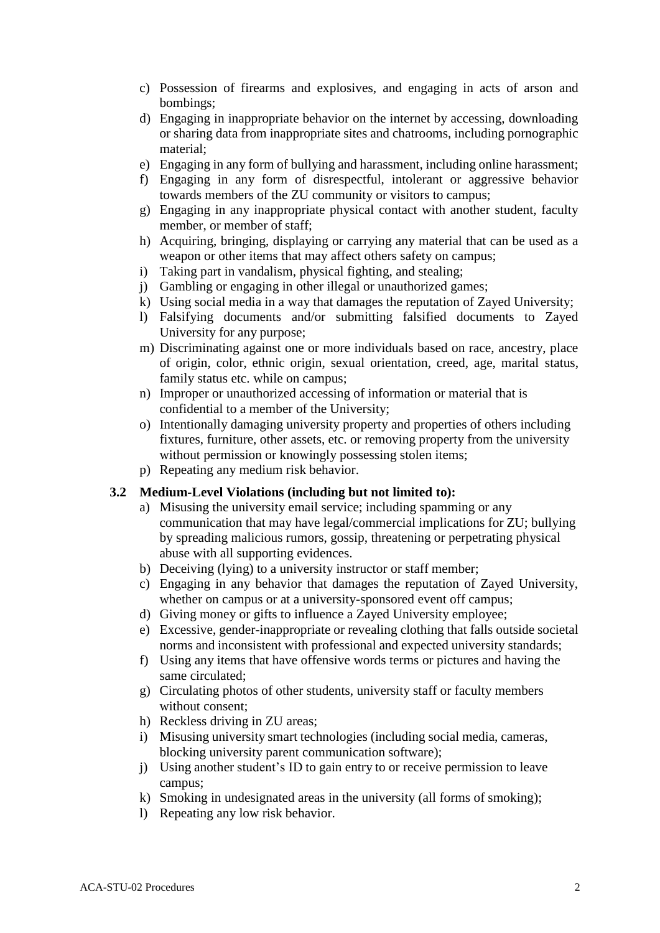- c) Possession of firearms and [explosives,](https://en.wikipedia.org/wiki/Explosive) and engaging in acts of [arson](https://en.wikipedia.org/wiki/Arson) and bombings;
- d) Engaging in inappropriate behavior on the internet by accessing, downloading or sharing data from inappropriate sites and chatrooms, including pornographic material;
- e) Engaging in any form of bullying and harassment, including online harassment;
- f) Engaging in any form of disrespectful, intolerant or aggressive behavior towards members of the ZU community or visitors to campus;
- g) Engaging in any inappropriate physical contact with another student, faculty member, or member of staff;
- h) Acquiring, bringing, displaying or carrying any material that can be used as a weapon or other items that may affect others safety on campus;
- i) Taking part in vandalism, physical fighting, and stealing;
- j) Gambling or engaging in other illegal or unauthorized games;
- k) Using social media in a way that damages the reputation of Zayed University;
- l) Falsifying documents and/or submitting falsified documents to Zayed University for any purpose;
- m) Discriminating against one or more individuals based on race, ancestry, place of origin, color, ethnic origin, sexual orientation, creed, age, marital status, family status etc. while on campus;
- n) Improper or unauthorized accessing of information or material that is confidential to a member of the University;
- o) Intentionally damaging university property and properties of others including fixtures, furniture, other assets, etc. or removing property from the university without permission or knowingly possessing stolen items;
- p) Repeating any medium risk behavior.

#### **3.2 Medium-Level Violations (including but not limited to):**

- a) Misusing the university email service; including spamming or any communication that may have legal/commercial implications for ZU; bullying by spreading malicious rumors, gossip, threatening or perpetrating physical abuse with all supporting evidences.
- b) Deceiving (lying) to a university instructor or staff member;
- c) Engaging in any behavior that damages the reputation of Zayed University, whether on campus or at a university-sponsored event off campus;
- d) Giving money or gifts to influence a Zayed University employee;
- e) Excessive, gender-inappropriate or revealing clothing that falls outside societal norms and inconsistent with professional and expected university standards;
- f) Using any items that have offensive words terms or pictures and having the same circulated;
- g) Circulating photos of other students, university staff or faculty members without consent;
- h) Reckless driving in ZU areas;
- i) Misusing university smart technologies (including social media, cameras, blocking university parent communication software);
- j) Using another student's ID to gain entry to or receive permission to leave campus;
- k) Smoking in undesignated areas in the university (all forms of smoking);
- l) Repeating any low risk behavior.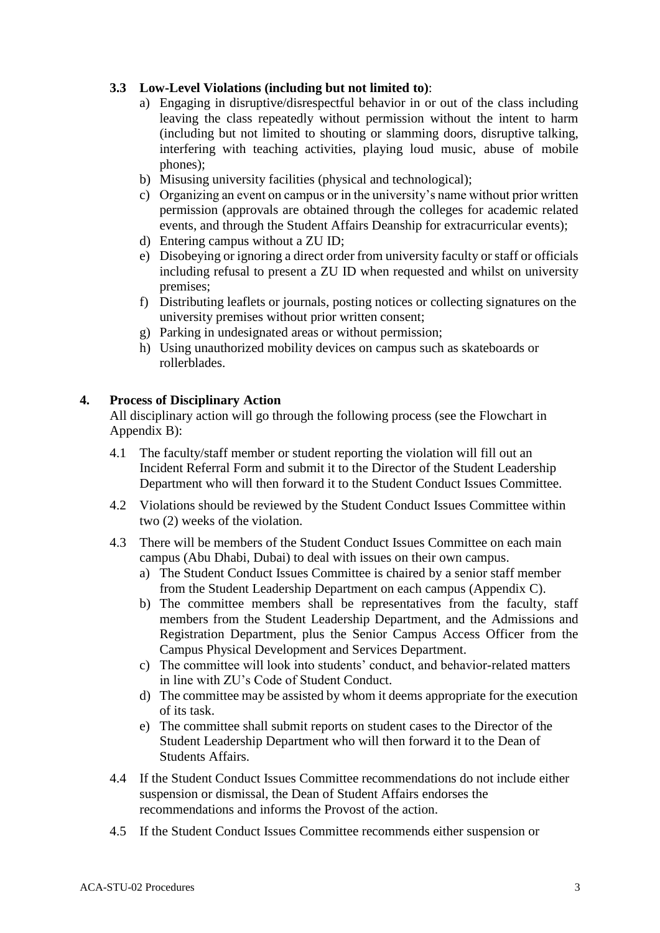### **3.3 Low-Level Violations (including but not limited to)**:

- a) Engaging in disruptive/disrespectful behavior in or out of the class including leaving the class repeatedly without permission without the intent to harm (including but not limited to shouting or slamming doors, disruptive talking, interfering with teaching activities, playing loud music, abuse of mobile phones);
- b) Misusing university facilities (physical and technological);
- c) Organizing an event on campus or in the university's name without prior written permission (approvals are obtained through the colleges for academic related events, and through the Student Affairs Deanship for extracurricular events);
- d) Entering campus without a ZU ID;
- e) Disobeying or ignoring a direct order from university faculty or staff or officials including refusal to present a ZU ID when requested and whilst on university premises;
- f) Distributing leaflets or journals, posting notices or collecting signatures on the university premises without prior written consent;
- g) Parking in undesignated areas or without permission;
- h) Using unauthorized mobility devices on campus such as skateboards or rollerblades.

#### **4. Process of Disciplinary Action**

All disciplinary action will go through the following process (see the Flowchart in Appendix B):

- 4.1 The faculty/staff member or student reporting the violation will fill out an Incident Referral Form and submit it to the Director of the Student Leadership Department who will then forward it to the Student Conduct Issues Committee.
- 4.2 Violations should be reviewed by the Student Conduct Issues Committee within two (2) weeks of the violation.
- 4.3 There will be members of the Student Conduct Issues Committee on each main campus (Abu Dhabi, Dubai) to deal with issues on their own campus.
	- a) The Student Conduct Issues Committee is chaired by a senior staff member from the Student Leadership Department on each campus (Appendix C).
	- b) The committee members shall be representatives from the faculty, staff members from the Student Leadership Department, and the Admissions and Registration Department, plus the Senior Campus Access Officer from the Campus Physical Development and Services Department.
	- c) The committee will look into students' conduct, and behavior-related matters in line with ZU's Code of Student Conduct.
	- d) The committee may be assisted by whom it deems appropriate for the execution of its task.
	- e) The committee shall submit reports on student cases to the Director of the Student Leadership Department who will then forward it to the Dean of Students Affairs.
- 4.4 If the Student Conduct Issues Committee recommendations do not include either suspension or dismissal, the Dean of Student Affairs endorses the recommendations and informs the Provost of the action.
- 4.5 If the Student Conduct Issues Committee recommends either suspension or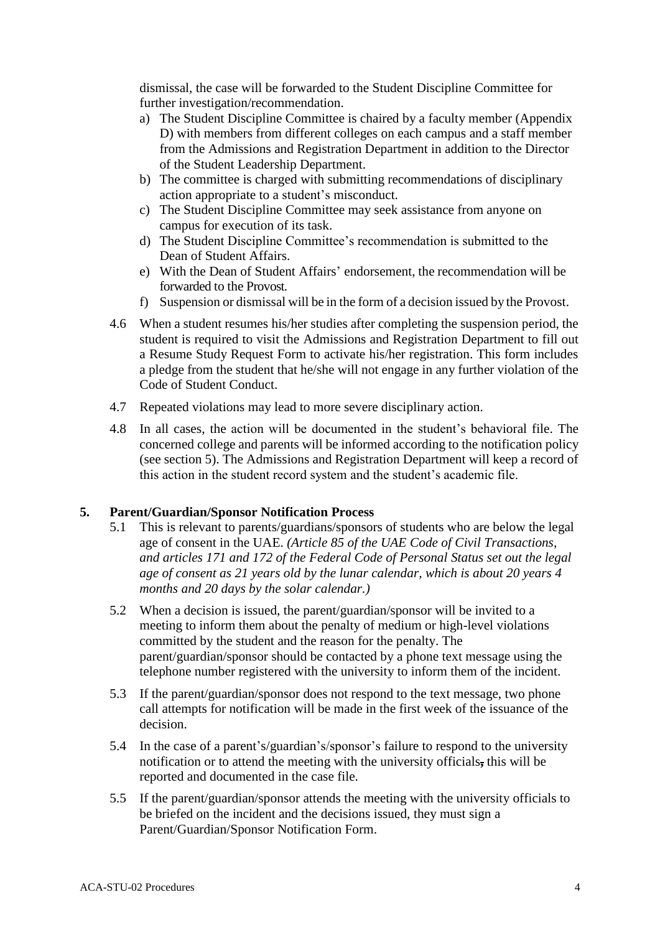dismissal, the case will be forwarded to the Student Discipline Committee for further investigation/recommendation.

- a) The Student Discipline Committee is chaired by a faculty member (Appendix D) with members from different colleges on each campus and a staff member from the Admissions and Registration Department in addition to the Director of the Student Leadership Department.
- b) The committee is charged with submitting recommendations of disciplinary action appropriate to a student's misconduct.
- c) The Student Discipline Committee may seek assistance from anyone on campus for execution of its task.
- d) The Student Discipline Committee's recommendation is submitted to the Dean of Student Affairs.
- e) With the Dean of Student Affairs' endorsement, the recommendation will be forwarded to the Provost.
- f) Suspension or dismissal will be in the form of a decision issued by the Provost.
- 4.6 When a student resumes his/her studies after completing the suspension period, the student is required to visit the Admissions and Registration Department to fill out a Resume Study Request Form to activate his/her registration. This form includes a pledge from the student that he/she will not engage in any further violation of the Code of Student Conduct.
- 4.7 Repeated violations may lead to more severe disciplinary action.
- 4.8 In all cases, the action will be documented in the student's behavioral file. The concerned college and parents will be informed according to the notification policy (see section 5). The Admissions and Registration Department will keep a record of this action in the student record system and the student's academic file.

### **5. Parent/Guardian/Sponsor Notification Process**

- 5.1 This is relevant to parents/guardians/sponsors of students who are below the legal age of consent in the UAE. *(Article 85 of the UAE Code of Civil Transactions, and articles 171 and 172 of the Federal Code of Personal Status set out the legal age of consent as 21 years old by the lunar calendar, which is about 20 years 4 months and 20 days by the solar calendar.)*
- 5.2 When a decision is issued, the parent/guardian/sponsor will be invited to a meeting to inform them about the penalty of medium or high-level violations committed by the student and the reason for the penalty. The parent/guardian/sponsor should be contacted by a phone text message using the telephone number registered with the university to inform them of the incident.
- 5.3 If the parent/guardian/sponsor does not respond to the text message, two phone call attempts for notification will be made in the first week of the issuance of the decision.
- 5.4 In the case of a parent's/guardian's/sponsor's failure to respond to the university notification or to attend the meeting with the university officials**,** this will be reported and documented in the case file.
- 5.5 If the parent/guardian/sponsor attends the meeting with the university officials to be briefed on the incident and the decisions issued, they must sign a Parent/Guardian/Sponsor Notification Form.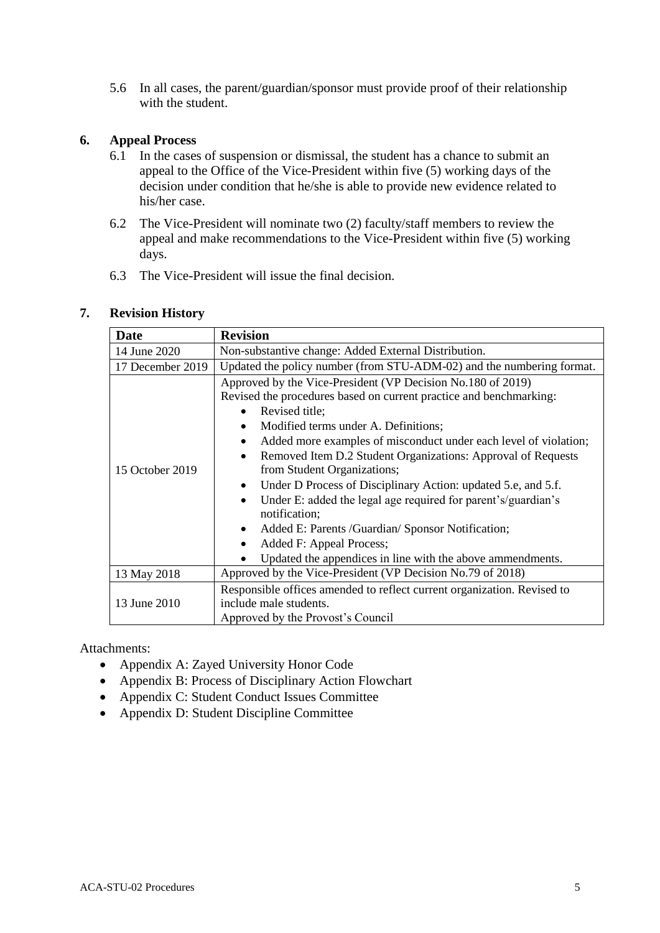5.6 In all cases, the parent/guardian/sponsor must provide proof of their relationship with the student.

#### **6. Appeal Process**

- 6.1 In the cases of suspension or dismissal, the student has a chance to submit an appeal to the Office of the Vice-President within five (5) working days of the decision under condition that he/she is able to provide new evidence related to his/her case.
- 6.2 The Vice-President will nominate two (2) faculty/staff members to review the appeal and make recommendations to the Vice-President within five (5) working days.
- 6.3 The Vice-President will issue the final decision.

#### **7. Revision History**

| <b>Date</b>      | <b>Revision</b>                                                                                                                                                                                                                                                                                                                                                                                                                                                                                                                                                                                                                                                                                                                |  |  |
|------------------|--------------------------------------------------------------------------------------------------------------------------------------------------------------------------------------------------------------------------------------------------------------------------------------------------------------------------------------------------------------------------------------------------------------------------------------------------------------------------------------------------------------------------------------------------------------------------------------------------------------------------------------------------------------------------------------------------------------------------------|--|--|
| 14 June 2020     | Non-substantive change: Added External Distribution.                                                                                                                                                                                                                                                                                                                                                                                                                                                                                                                                                                                                                                                                           |  |  |
| 17 December 2019 | Updated the policy number (from STU-ADM-02) and the numbering format.                                                                                                                                                                                                                                                                                                                                                                                                                                                                                                                                                                                                                                                          |  |  |
| 15 October 2019  | Approved by the Vice-President (VP Decision No.180 of 2019)<br>Revised the procedures based on current practice and benchmarking:<br>Revised title;<br>$\bullet$<br>Modified terms under A. Definitions;<br>Added more examples of misconduct under each level of violation;<br>Removed Item D.2 Student Organizations: Approval of Requests<br>$\bullet$<br>from Student Organizations;<br>Under D Process of Disciplinary Action: updated 5.e, and 5.f.<br>$\bullet$<br>Under E: added the legal age required for parent's/guardian's<br>$\bullet$<br>notification;<br>Added E: Parents /Guardian/ Sponsor Notification;<br>٠<br>Added F: Appeal Process;<br>٠<br>Updated the appendices in line with the above ammendments. |  |  |
| 13 May 2018      | Approved by the Vice-President (VP Decision No.79 of 2018)                                                                                                                                                                                                                                                                                                                                                                                                                                                                                                                                                                                                                                                                     |  |  |
| 13 June 2010     | Responsible offices amended to reflect current organization. Revised to<br>include male students.<br>Approved by the Provost's Council                                                                                                                                                                                                                                                                                                                                                                                                                                                                                                                                                                                         |  |  |

Attachments:

- Appendix A: Zayed University Honor Code
- Appendix B: Process of Disciplinary Action Flowchart
- Appendix C: Student Conduct Issues Committee
- Appendix D: Student Discipline Committee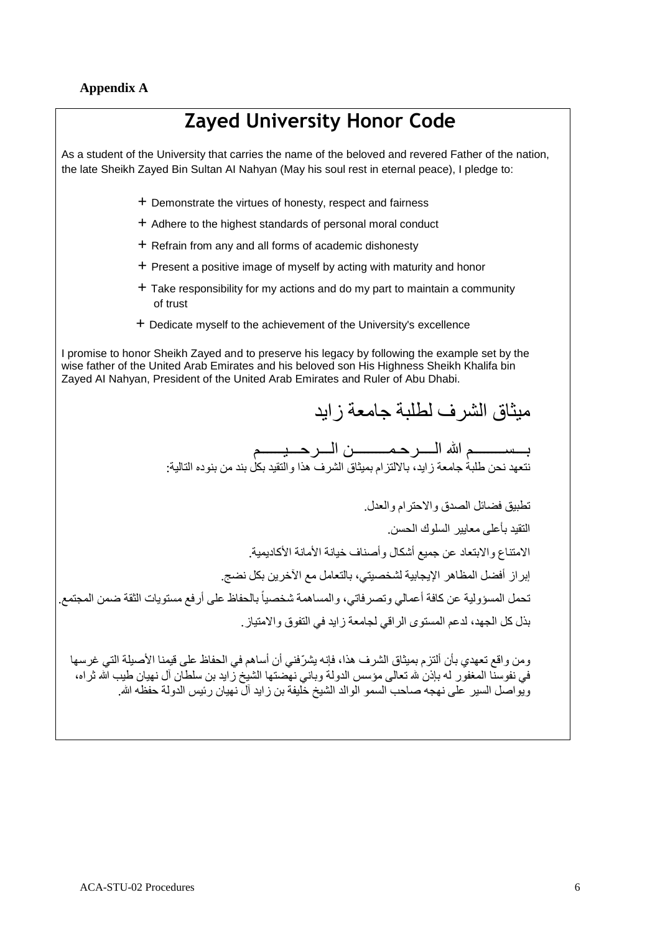## **Appendix A**



وس ن-س -سجابي - سمع السريقين على سنة بن تعالى مؤسس الدولة وباني نهيجت الشيخ زايد بن سلطان آل نهيان طيب الله ثراه،<br>في نفوسنا المغفور له بإذن لله تعالى مؤسس الدولة وباني نهضتها الشيخ زايد بن سلطان آل نهيان طيب الله ثراه، ويواصل السير على نهجه صاحب السمو الوالد الشيخ خليفة بن زايد آل نهيان رئيس الدولة حفظه الله.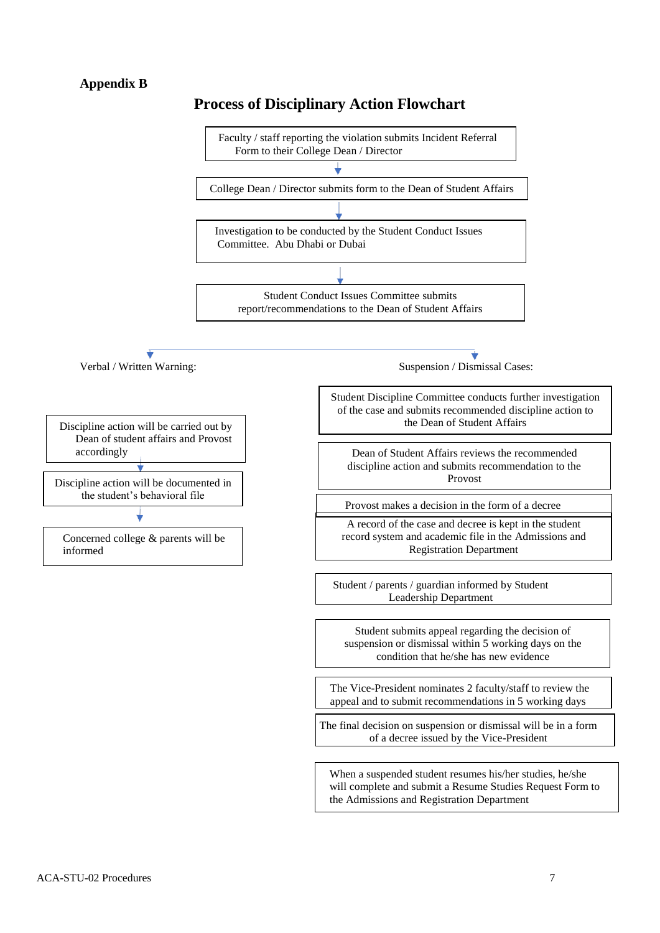#### **Appendix B**



## **Process of Disciplinary Action Flowchart**

When a suspended student resumes his/her studies, he/she will complete and submit a Resume Studies Request Form to the Admissions and Registration Department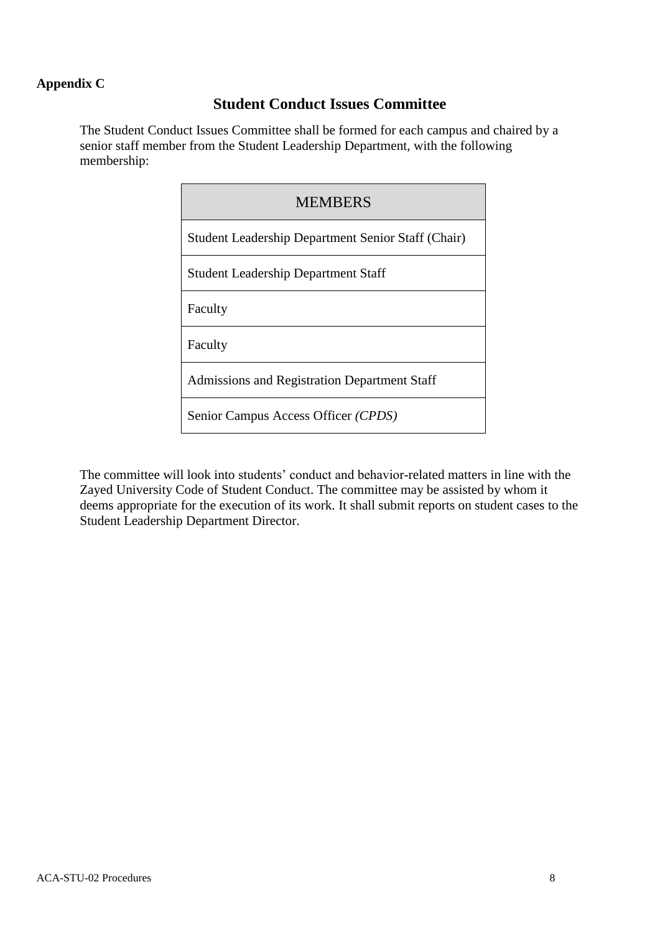## **Appendix C**

# **Student Conduct Issues Committee**

The Student Conduct Issues Committee shall be formed for each campus and chaired by a senior staff member from the Student Leadership Department, with the following membership:

| <b>MEMBERS</b>                                     |  |  |  |
|----------------------------------------------------|--|--|--|
| Student Leadership Department Senior Staff (Chair) |  |  |  |
| <b>Student Leadership Department Staff</b>         |  |  |  |
| Faculty                                            |  |  |  |
| Faculty                                            |  |  |  |
| Admissions and Registration Department Staff       |  |  |  |
| Senior Campus Access Officer (CPDS)                |  |  |  |

The committee will look into students' conduct and behavior-related matters in line with the Zayed University Code of Student Conduct. The committee may be assisted by whom it deems appropriate for the execution of its work. It shall submit reports on student cases to the Student Leadership Department Director.